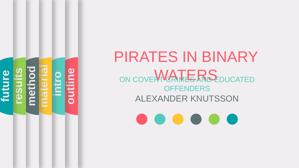

# PIRATES IN BINARY ON COVERT CRIMES AND EDUCATED **OFFENDERS** ALEXANDER KNUTSSON

 $\bullet$   $\bullet$   $\bullet$   $\bullet$   $\bullet$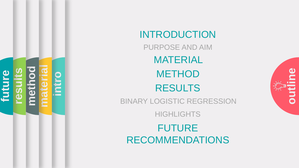

## INTRODUCTION

PURPOSE AND AIM MATERIAL **METHOD** RESULTS

**outline**

BINARY LOGISTIC REGRESSION

**HIGHLIGHTS** 

FUTURE RECOMMENDATIONS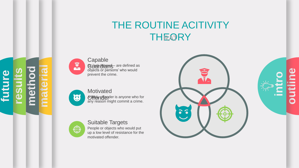## THE ROUTINE ACITIVITY THEORY



**Capable Guardians** – are defined as objects or persons' who would prevent the crime.



**method**

**future**

**results**

**material**

**Motivated** Offer A fighter is anyone who for any reason might commit a crime.



#### Suitable Targets

People or objects who would put up a low level of resistance for the motivated offender.



**outline**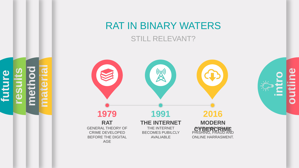# RAT IN BINARY WATERS

STILL RELEVANT?



**outline intro**

**method material future results**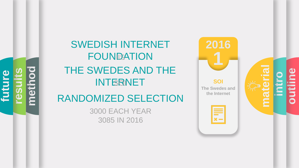**meth future results**

## SWEDISH INTERNET **FOUNDATION** THE SWEDES AND THE **INTERNET**

## RANDOMIZED SELECTION

3000 EACH YEAR 3085 IN 2016



**intro material**

**outline**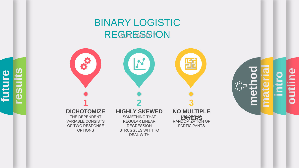## BINARY LOGISTIC REGRESSION



**outline intro method material**

OF TWO RESPONSE **OPTIONS** 

**future**

**results**

REGRESSION STRUGGLES WITH TO DEAL WITH

PARTICIPANTS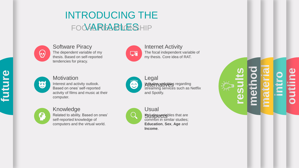## INTRODUCING THE FOCAAREABLOTSHIP



Software Piracy The dependent variable of my thesis. Based on self -reported tendencies for piracy.



Internet Activity The focal independent variable of my thesis. Core idea of RAT.



6

#### **Motivation**

Knowledge

Interest and activity outlook. Based on ones' self -reported activity of films and music at their computer.



Legal Alternatives regarding streaming services such as Netflix and Spotify.



Usual **Suspectables that are** common in similar studies; **Education**, **Sex**, **Age** and **Income** .

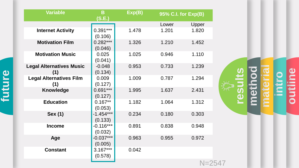| <b>Variable</b>                        | B<br>(S.E.)            | Exp(B) | 95% C.I. for Exp(B) |                                               |
|----------------------------------------|------------------------|--------|---------------------|-----------------------------------------------|
|                                        |                        |        | Lower               | Upper                                         |
| <b>Internet Activity</b>               | $0.391***$<br>(0.106)  | 1.478  | 1.201               | 1.820                                         |
| <b>Motivation Film</b>                 | $0.282***$<br>(0.046)  | 1.326  | 1.210               | 1.452                                         |
| <b>Motivation Music</b>                | 0.025<br>(0.041)       | 1.025  | 0.946               | 1.110                                         |
| <b>Legal Alternatives Music</b><br>(1) | $-0.048$<br>(0.134)    | 0.953  | 0.733               | 1.239                                         |
| <b>Legal Alternatives Film</b><br>(1)  | 0.009<br>(0.127)       | 1.009  | 0.787               | 1.294                                         |
| <b>Knowledge</b>                       | $0.691***$<br>(0.127)  | 1.995  | 1.637               | 2.431                                         |
| <b>Education</b>                       | $0.167**$<br>(0.053)   | 1.182  | 1.064               | 1.312                                         |
| <b>Sex (1)</b>                         | $-1.454***$<br>(0.133) | 0.234  | 0.180               | 0.303                                         |
| <b>Income</b>                          | $-0.116***$<br>(0.032) | 0.891  | 0.838               | 0.948                                         |
| Age                                    | $-0.037***$<br>(0.005) | 0.963  | 0.955               | 0.972                                         |
| <b>Constant</b>                        | $3.167***$<br>(0.578)  | 0.042  |                     |                                               |
|                                        |                        |        |                     | $\mathbb{R}$ $\mathbb{R}$ $\cap$ $\mathbb{R}$ |



N=2547

# **future**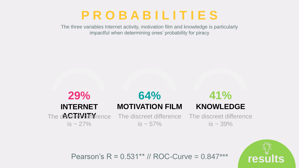## **P R O B A B I L I T I E S**

The three variables Internet activity, motivation film and knowledge is particularly impactful when determining ones' probability for piracy





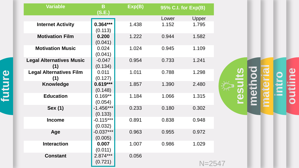| <b>Variable</b>                        | B<br>(S.E.)            | Exp(B) |       | 95% C.I. for Exp(B) |               |
|----------------------------------------|------------------------|--------|-------|---------------------|---------------|
|                                        |                        |        | Lower | Upper               |               |
| <b>Internet Activity</b>               | $0.364***$<br>(0.113)  | 1.438  | 1.152 | 1.795               |               |
| <b>Motivation Film</b>                 | 0.200<br>(0.041)       | 1.222  | 0.944 | 1.582               |               |
| <b>Motivation Music</b>                | 0.024<br>(0.041)       | 1.024  | 0.945 | 1.109               |               |
| <b>Legal Alternatives Music</b><br>(1) | $-0.047$<br>(0.134)    | 0.954  | 0.733 | 1.241               |               |
| <b>Legal Alternatives Film</b><br>(1)  | 0.011<br>(0.127)       | 1.011  | 0.788 | 1.298               |               |
| <b>Knowledge</b>                       | $0.619***$<br>(0.148)  | 1.857  | 1.390 | 2.480               | $\frac{1}{2}$ |
| <b>Education</b>                       | $0.169**$<br>(0.054)   | 1.184  | 1.066 | 1.315               |               |
| <b>Sex (1)</b>                         | $-1.456***$<br>(0.133) | 0.233  | 0.180 | 0.302               |               |
| <b>Income</b>                          | $-0.115***$<br>(0.032) | 0.891  | 0.838 | 0.948               |               |
| Age                                    | $-0.037***$<br>(0.005) | 0.963  | 0.955 | 0.972               |               |
| <b>Interaction</b>                     | 0.007<br>(0.011)       | 1.007  | 0.986 | 1.029               |               |
| <b>Constant</b>                        | $2.874***$<br>(0.721)  | 0.056  |       | $N = 2547$          |               |

**outline intro method material results**

**future**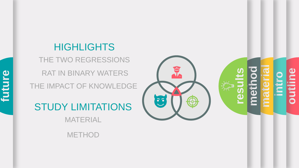## **HIGHLIGHTS**

THE TWO REGRESSIONS THE IMPACT OF KNOWLEDGE RAT IN BINARY WATERS

STUDY LIMITATIONS

MATERIAL

METHOD



 $\sum_{i=1}^{n}$ 

**outline**

**intro**

**method**

**material**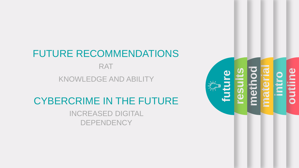# FUTURE RECOMMENDATIONS

RAT

KNOWLEDGE AND ABILITY

## CYBERCRIME IN THE FUTURE

INCREASED DIGITAL **DEPENDENCY**